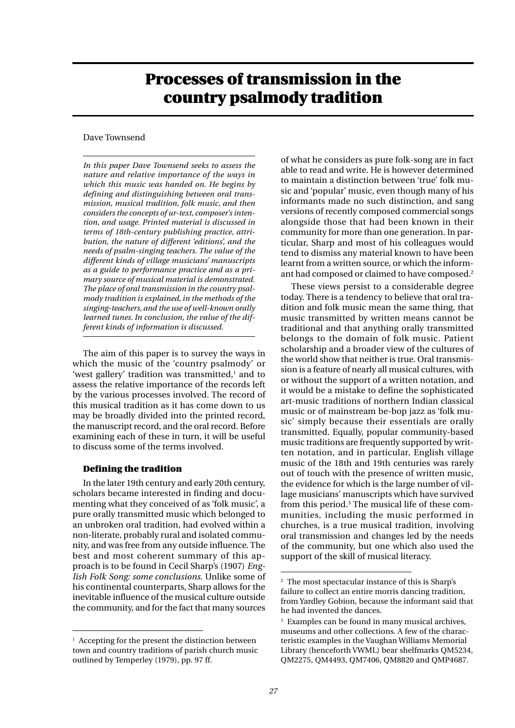# **Processes of transmission in the country psalmody tradition**

# Dave Townsend

*In this paper Dave Townsend seeks to assess the nature and relative importance of the ways in which this music was handed on. He begins by defining and distinguishing between oral transmission, musical tradition, folk music, and then considers the concepts of ur-text, composer's intention, and usage. Printed material is discussed in terms of 18th-century publishing practice, attribution, the nature of different 'editions', and the needs of psalm-singing teachers. The value of the different kinds of village musicians' manuscripts as a guide to performance practice and as a primary source of musical material is demonstrated. The place of oral transmission in the country psalmody tradition is explained, in the methods of the singing-teachers, and the use of well-known orally learned tunes. In conclusion, the value of the different kinds of information is discussed.*

The aim of this paper is to survey the ways in which the music of the 'country psalmody' or 'west gallery' tradition was transmitted, $1$  and to assess the relative importance of the records left by the various processes involved. The record of this musical tradition as it has come down to us may be broadly divided into the printed record, the manuscript record, and the oral record. Before examining each of these in turn, it will be useful to discuss some of the terms involved.

## **Defining the tradition**

In the later 19th century and early 20th century, scholars became interested in finding and documenting what they conceived of as 'folk music', a pure orally transmitted music which belonged to an unbroken oral tradition, had evolved within a non-literate, probably rural and isolated community, and was free from any outside influence. The best and most coherent summary of this approach is to be found in Cecil Sharp's (1907) *English Folk Song: some conclusions*. Unlike some of his continental counterparts, Sharp allows for the inevitable influence of the musical culture outside the community, and for the fact that many sources

of what he considers as pure folk-song are in fact able to read and write. He is however determined to maintain a distinction between 'true' folk music and 'popular' music, even though many of his informants made no such distinction, and sang versions of recently composed commercial songs alongside those that had been known in their community for more than one generation. In particular, Sharp and most of his colleagues would tend to dismiss any material known to have been learnt from a written source, or which the informant had composed or claimed to have composed.2

These views persist to a considerable degree today. There is a tendency to believe that oral tradition and folk music mean the same thing, that music transmitted by written means cannot be traditional and that anything orally transmitted belongs to the domain of folk music. Patient scholarship and a broader view of the cultures of the world show that neither is true. Oral transmission is a feature of nearly all musical cultures, with or without the support of a written notation, and it would be a mistake to define the sophisticated art-music traditions of northern Indian classical music or of mainstream be-bop jazz as 'folk music' simply because their essentials are orally transmitted. Equally, popular community-based music traditions are frequently supported by written notation, and in particular, English village music of the 18th and 19th centuries was rarely out of touch with the presence of written music, the evidence for which is the large number of village musicians' manuscripts which have survived from this period.3 The musical life of these communities, including the music performed in churches, is a true musical tradition, involving oral transmission and changes led by the needs of the community, but one which also used the support of the skill of musical literacy.

 $<sup>1</sup>$  Accepting for the present the distinction between</sup> town and country traditions of parish church music outlined by Temperley (1979), pp. 97 ff.

<sup>2</sup> The most spectacular instance of this is Sharp's failure to collect an entire morris dancing tradition, from Yardley Gobion, because the informant said that he had invented the dances.

<sup>&</sup>lt;sup>3</sup> Examples can be found in many musical archives, museums and other collections. A few of the characteristic examples in the Vaughan Williams Memorial Library (henceforth VWML) bear shelfmarks QM5234, QM2275, QM4493, QM7406, QM8820 and QMP4687.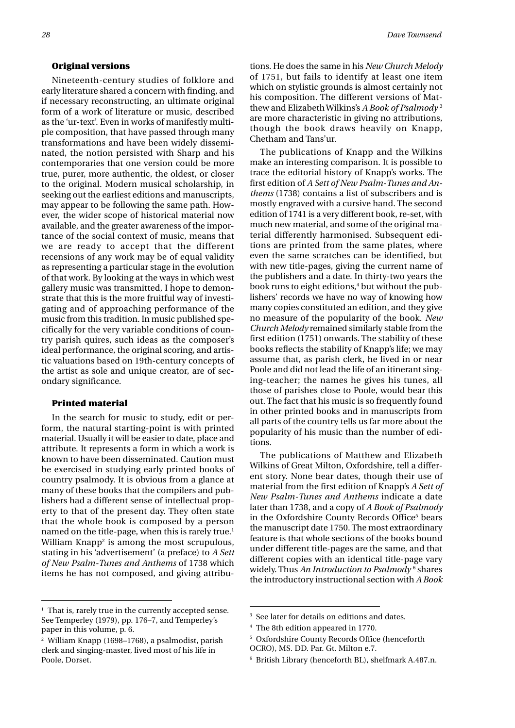#### **Original versions**

Nineteenth-century studies of folklore and early literature shared a concern with finding, and if necessary reconstructing, an ultimate original form of a work of literature or music, described as the 'ur-text'. Even in works of manifestly multiple composition, that have passed through many transformations and have been widely disseminated, the notion persisted with Sharp and his contemporaries that one version could be more true, purer, more authentic, the oldest, or closer to the original. Modern musical scholarship, in seeking out the earliest editions and manuscripts, may appear to be following the same path. However, the wider scope of historical material now available, and the greater awareness of the importance of the social context of music, means that we are ready to accept that the different recensions of any work may be of equal validity as representing a particular stage in the evolution of that work. By looking at the ways in which west gallery music was transmitted, I hope to demonstrate that this is the more fruitful way of investigating and of approaching performance of the music from this tradition. In music published specifically for the very variable conditions of country parish quires, such ideas as the composer's ideal performance, the original scoring, and artistic valuations based on 19th-century concepts of the artist as sole and unique creator, are of secondary significance.

## **Printed material**

In the search for music to study, edit or perform, the natural starting-point is with printed material. Usually it will be easier to date, place and attribute. It represents a form in which a work is known to have been disseminated. Caution must be exercised in studying early printed books of country psalmody. It is obvious from a glance at many of these books that the compilers and publishers had a different sense of intellectual property to that of the present day. They often state that the whole book is composed by a person named on the title-page, when this is rarely true.<sup>1</sup> William Knapp $^2$  is among the most scrupulous, stating in his 'advertisement' (a preface) to *A Sett of New Psalm-Tunes and Anthems* of 1738 which items he has not composed, and giving attributions. He does the same in his *New Church Melody* of 1751, but fails to identify at least one item which on stylistic grounds is almost certainly not his composition. The different versions of Matthew and Elizabeth Wilkins's *A Book of Psalmody* <sup>3</sup> are more characteristic in giving no attributions, though the book draws heavily on Knapp, Chetham and Tans'ur.

The publications of Knapp and the Wilkins make an interesting comparison. It is possible to trace the editorial history of Knapp's works. The first edition of *A Sett of New Psalm-Tunes and Anthems* (1738) contains a list of subscribers and is mostly engraved with a cursive hand. The second edition of 1741 is a very different book, re-set, with much new material, and some of the original material differently harmonised. Subsequent editions are printed from the same plates, where even the same scratches can be identified, but with new title-pages, giving the current name of the publishers and a date. In thirty-two years the book runs to eight editions,<sup>4</sup> but without the publishers' records we have no way of knowing how many copies constituted an edition, and they give no measure of the popularity of the book. *New Church Melody* remained similarly stable from the first edition (1751) onwards. The stability of these books reflects the stability of Knapp's life; we may assume that, as parish clerk, he lived in or near Poole and did not lead the life of an itinerant singing-teacher; the names he gives his tunes, all those of parishes close to Poole, would bear this out. The fact that his music is so frequently found in other printed books and in manuscripts from all parts of the country tells us far more about the popularity of his music than the number of editions.

The publications of Matthew and Elizabeth Wilkins of Great Milton, Oxfordshire, tell a different story. None bear dates, though their use of material from the first edition of Knapp's *A Sett of New Psalm-Tunes and Anthems* indicate a date later than 1738, and a copy of *A Book of Psalmody* in the Oxfordshire County Records Office<sup>5</sup> bears the manuscript date 1750. The most extraordinary feature is that whole sections of the books bound under different title-pages are the same, and that different copies with an identical title-page vary widely. Thus *An Introduction to Psalmody* '<sub>S</sub>hares the introductory instructional section with *A Book*

<sup>&</sup>lt;sup>1</sup> That is, rarely true in the currently accepted sense. See Temperley (1979), pp. 176–7, and Temperley's paper in this volume, p. 6.

<sup>2</sup> William Knapp (1698–1768), a psalmodist, parish clerk and singing-master, lived most of his life in Poole, Dorset.

<sup>&</sup>lt;sup>3</sup> See later for details on editions and dates.

<sup>4</sup> The 8th edition appeared in 1770.

<sup>5</sup> Oxfordshire County Records Office (henceforth

OCRO), MS. DD. Par. Gt. Milton e.7.

<sup>6</sup> British Library (henceforth BL), shelfmark A.487.n.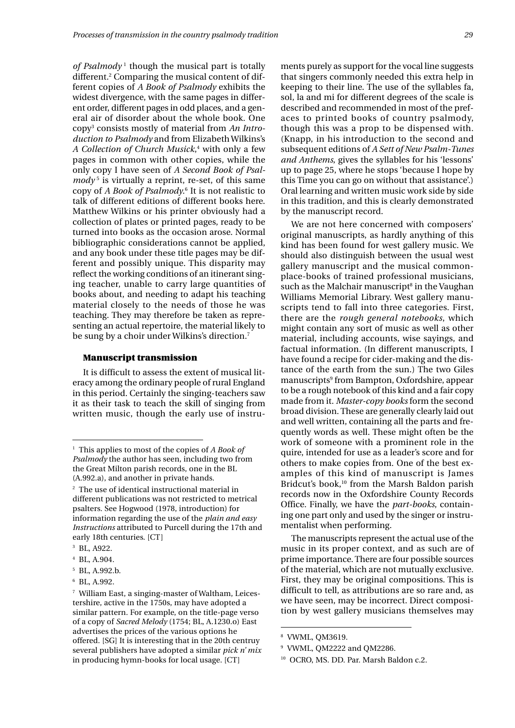of Psalmody<sup>1</sup> though the musical part is totally different.<sup>2</sup> Comparing the musical content of different copies of *A Book of Psalmody* exhibits the widest divergence, with the same pages in different order, different pages in odd places, and a general air of disorder about the whole book. One copy3 consists mostly of material from *An Introduction to Psalmody* and from Elizabeth Wilkins's *A Collection of Church Musick,* $^4$  with only a few pages in common with other copies, while the only copy I have seen of *A Second Book of Psalmody*<sup>5</sup> is virtually a reprint, re-set, of this same copy of *A Book of Psalmody*. 6 It is not realistic to talk of different editions of different books here. Matthew Wilkins or his printer obviously had a collection of plates or printed pages, ready to be turned into books as the occasion arose. Normal bibliographic considerations cannot be applied, and any book under these title pages may be different and possibly unique. This disparity may reflect the working conditions of an itinerant singing teacher, unable to carry large quantities of books about, and needing to adapt his teaching material closely to the needs of those he was teaching. They may therefore be taken as representing an actual repertoire, the material likely to be sung by a choir under Wilkins's direction.7

#### **Manuscript transmission**

It is difficult to assess the extent of musical literacy among the ordinary people of rural England in this period. Certainly the singing-teachers saw it as their task to teach the skill of singing from written music, though the early use of instruments purely as support for the vocal line suggests that singers commonly needed this extra help in keeping to their line. The use of the syllables fa, sol, la and mi for different degrees of the scale is described and recommended in most of the prefaces to printed books of country psalmody, though this was a prop to be dispensed with. (Knapp, in his introduction to the second and subsequent editions of *A Sett of New Psalm-Tunes and Anthems*, gives the syllables for his 'lessons' up to page 25, where he stops 'because I hope by this Time you can go on without that assistance'.) Oral learning and written music work side by side in this tradition, and this is clearly demonstrated by the manuscript record.

We are not here concerned with composers' original manuscripts, as hardly anything of this kind has been found for west gallery music. We should also distinguish between the usual west gallery manuscript and the musical commonplace-books of trained professional musicians, such as the Malchair manuscript $^{\rm 8}$  in the Vaughan Williams Memorial Library. West gallery manuscripts tend to fall into three categories. First, there are the *rough general notebooks*, which might contain any sort of music as well as other material, including accounts, wise sayings, and factual information. (In different manuscripts, I have found a recipe for cider-making and the distance of the earth from the sun.) The two Giles manuscripts9 from Bampton, Oxfordshire, appear to be a rough notebook of this kind and a fair copy made from it. *Master-copy books* form the second broad division. These are generally clearly laid out and well written, containing all the parts and frequently words as well. These might often be the work of someone with a prominent role in the quire, intended for use as a leader's score and for others to make copies from. One of the best examples of this kind of manuscript is James Bridcut's book,<sup>10</sup> from the Marsh Baldon parish records now in the Oxfordshire County Records Office. Finally, we have the *part-books*, containing one part only and used by the singer or instrumentalist when performing.

The manuscripts represent the actual use of the music in its proper context, and as such are of prime importance. There are four possible sources of the material, which are not mutually exclusive. First, they may be original compositions. This is difficult to tell, as attributions are so rare and, as we have seen, may be incorrect. Direct composition by west gallery musicians themselves may

<sup>1</sup> This applies to most of the copies of *A Book of Psalmody* the author has seen, including two from the Great Milton parish records, one in the BL (A.992.a), and another in private hands.

<sup>2</sup> The use of identical instructional material in different publications was not restricted to metrical psalters. See Hogwood (1978, introduction) for information regarding the use of the *plain and easy Instructions* attributed to Purcell during the 17th and early 18th centuries. [CT]

<sup>3</sup> BL, A922.

<sup>4</sup> BL, A.904.

<sup>5</sup> BL, A.992.b.

<sup>6</sup> BL, A.992.

<sup>7</sup> William East, a singing-master of Waltham, Leicestershire, active in the 1750s, may have adopted a similar pattern. For example, on the title-page verso of a copy of *Sacred Melody* (1754; BL, A.1230.o) East advertises the prices of the various options he offered. [SG] It is interesting that in the 20th centruy several publishers have adopted a similar *pick n' mix* in producing hymn-books for local usage. [CT]

<sup>8</sup> VWML, QM3619.

<sup>9</sup> VWML, QM2222 and QM2286.

<sup>10</sup> OCRO, MS. DD. Par. Marsh Baldon c.2.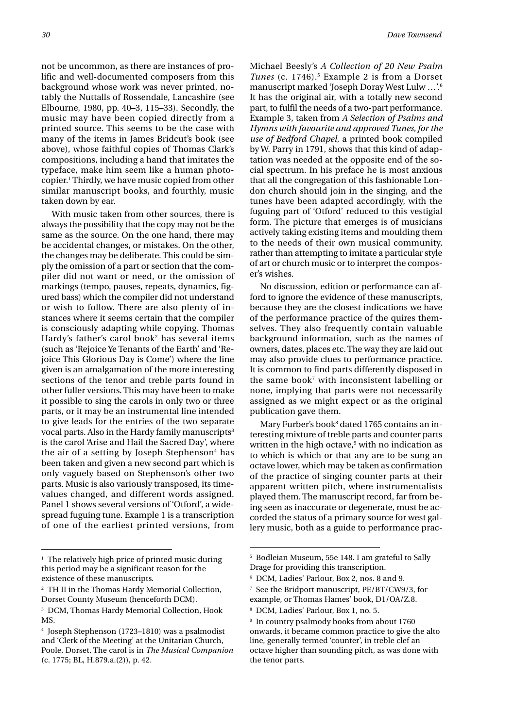not be uncommon, as there are instances of prolific and well-documented composers from this background whose work was never printed, notably the Nuttalls of Rossendale, Lancashire (see Elbourne, 1980, pp. 40–3, 115–33). Secondly, the music may have been copied directly from a printed source. This seems to be the case with many of the items in James Bridcut's book (see above), whose faithful copies of Thomas Clark's compositions, including a hand that imitates the typeface, make him seem like a human photocopier.1 Thirdly, we have music copied from other similar manuscript books, and fourthly, music taken down by ear.

With music taken from other sources, there is always the possibility that the copy may not be the same as the source. On the one hand, there may be accidental changes, or mistakes. On the other, the changes may be deliberate. This could be simply the omission of a part or section that the compiler did not want or need, or the omission of markings (tempo, pauses, repeats, dynamics, figured bass) which the compiler did not understand or wish to follow. There are also plenty of instances where it seems certain that the compiler is consciously adapting while copying. Thomas Hardy's father's carol book2 has several items (such as 'Rejoice Ye Tenants of the Earth' and 'Rejoice This Glorious Day is Come') where the line given is an amalgamation of the more interesting sections of the tenor and treble parts found in other fuller versions. This may have been to make it possible to sing the carols in only two or three parts, or it may be an instrumental line intended to give leads for the entries of the two separate vocal parts. Also in the Hardy family manuscripts<sup>3</sup> is the carol 'Arise and Hail the Sacred Day', where the air of a setting by Joseph Stephenson<sup>4</sup> has been taken and given a new second part which is only vaguely based on Stephenson's other two parts. Music is also variously transposed, its timevalues changed, and different words assigned. Panel 1 shows several versions of 'Otford', a widespread fuguing tune. Example 1 is a transcription of one of the earliest printed versions, from Michael Beesly's *A Collection of 20 New Psalm Tunes* (c. 1746).<sup>5</sup> Example 2 is from a Dorset manuscript marked 'Joseph Doray West Lulw …'.6 It has the original air, with a totally new second part, to fulfil the needs of a two-part performance. Example 3, taken from *A Selection of Psalms and Hymns with favourite and approved Tunes, for the use of Bedford Chapel*, a printed book compiled by W. Parry in 1791, shows that this kind of adaptation was needed at the opposite end of the social spectrum. In his preface he is most anxious that all the congregation of this fashionable London church should join in the singing, and the tunes have been adapted accordingly, with the fuguing part of 'Otford' reduced to this vestigial form. The picture that emerges is of musicians actively taking existing items and moulding them to the needs of their own musical community, rather than attempting to imitate a particular style of art or church music or to interpret the composer's wishes.

No discussion, edition or performance can afford to ignore the evidence of these manuscripts, because they are the closest indications we have of the performance practice of the quires themselves. They also frequently contain valuable background information, such as the names of owners, dates, places etc. The way they are laid out may also provide clues to performance practice. It is common to find parts differently disposed in the same book<sup>7</sup> with inconsistent labelling or none, implying that parts were not necessarily assigned as we might expect or as the original publication gave them.

Mary Furber's book<sup>8</sup> dated 1765 contains an interesting mixture of treble parts and counter parts written in the high octave,<sup>9</sup> with no indication as to which is which or that any are to be sung an octave lower, which may be taken as confirmation of the practice of singing counter parts at their apparent written pitch, where instrumentalists played them. The manuscript record, far from being seen as inaccurate or degenerate, must be accorded the status of a primary source for west gallery music, both as a guide to performance prac-

 $<sup>1</sup>$  The relatively high price of printed music during</sup> this period may be a significant reason for the existence of these manuscripts.

<sup>2</sup> TH II in the Thomas Hardy Memorial Collection, Dorset County Museum (henceforth DCM).

<sup>3</sup> DCM, Thomas Hardy Memorial Collection, Hook MS.

Joseph Stephenson (1723–1810) was a psalmodist and 'Clerk of the Meeting' at the Unitarian Church, Poole, Dorset. The carol is in *The Musical Companion* (c. 1775; BL, H.879.a.(2)), p. 42.

<sup>5</sup> Bodleian Museum, 55e 148. I am grateful to Sally Drage for providing this transcription.

<sup>6</sup> DCM, Ladies' Parlour, Box 2, nos. 8 and 9.

<sup>7</sup> See the Bridport manuscript, PE/BT/CW9/3, for example, or Thomas Hames' book, D1/OA/Z.8.

<sup>8</sup> DCM, Ladies' Parlour, Box 1, no. 5.

<sup>9</sup> In country psalmody books from about 1760 onwards, it became common practice to give the alto line, generally termed 'counter', in treble clef an octave higher than sounding pitch, as was done with the tenor parts.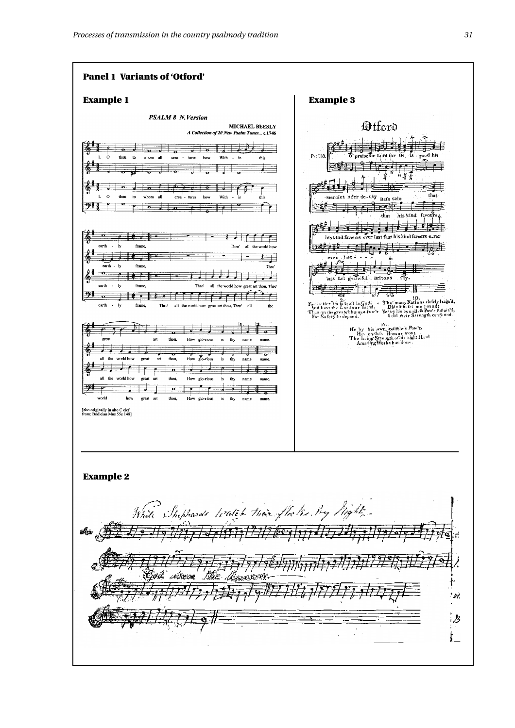

#19779 - 1 ر<br>پېښې د کال حدود والأخص 77 Ù.  $\overline{\mathcal{B}}$ ţ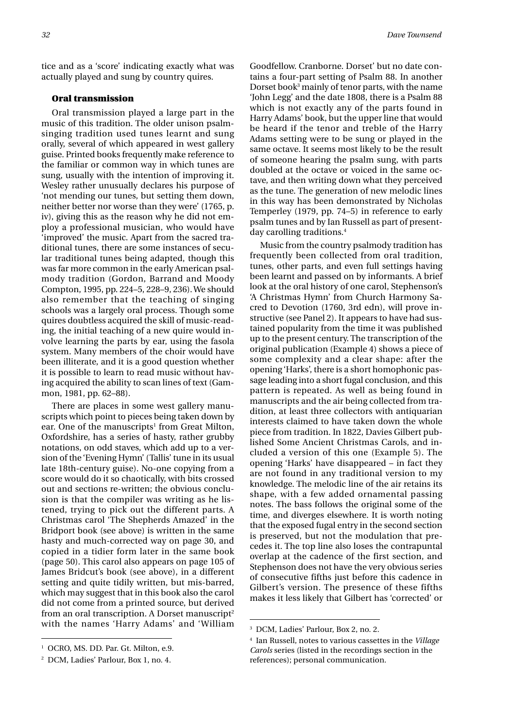tice and as a 'score' indicating exactly what was actually played and sung by country quires.

### **Oral transmission**

Oral transmission played a large part in the music of this tradition. The older unison psalmsinging tradition used tunes learnt and sung orally, several of which appeared in west gallery guise. Printed books frequently make reference to the familiar or common way in which tunes are sung, usually with the intention of improving it. Wesley rather unusually declares his purpose of 'not mending our tunes, but setting them down, neither better nor worse than they were' (1765, p. iv), giving this as the reason why he did not employ a professional musician, who would have 'improved' the music. Apart from the sacred traditional tunes, there are some instances of secular traditional tunes being adapted, though this was far more common in the early American psalmody tradition (Gordon, Barrand and Moody Compton, 1995, pp. 224–5, 228–9, 236). We should also remember that the teaching of singing schools was a largely oral process. Though some quires doubtless acquired the skill of music-reading, the initial teaching of a new quire would involve learning the parts by ear, using the fasola system. Many members of the choir would have been illiterate, and it is a good question whether it is possible to learn to read music without having acquired the ability to scan lines of text (Gammon, 1981, pp. 62–88).

There are places in some west gallery manuscripts which point to pieces being taken down by ear. One of the manuscripts<sup>1</sup> from Great Milton, Oxfordshire, has a series of hasty, rather grubby notations, on odd staves, which add up to a version of the 'Evening Hymn' (Tallis' tune in its usual late 18th-century guise). No-one copying from a score would do it so chaotically, with bits crossed out and sections re-written; the obvious conclusion is that the compiler was writing as he listened, trying to pick out the different parts. A Christmas carol 'The Shepherds Amazed' in the Bridport book (see above) is written in the same hasty and much-corrected way on page 30, and copied in a tidier form later in the same book (page 50). This carol also appears on page 105 of James Bridcut's book (see above), in a different setting and quite tidily written, but mis-barred, which may suggest that in this book also the carol did not come from a printed source, but derived from an oral transcription. A Dorset manuscript<sup>2</sup> with the names 'Harry Adams' and 'William

Goodfellow. Cranborne. Dorset' but no date contains a four-part setting of Psalm 88. In another Dorset book<sup>3</sup> mainly of tenor parts, with the name 'John Legg' and the date 1808, there is a Psalm 88 which is not exactly any of the parts found in Harry Adams' book, but the upper line that would be heard if the tenor and treble of the Harry Adams setting were to be sung or played in the same octave. It seems most likely to be the result of someone hearing the psalm sung, with parts doubled at the octave or voiced in the same octave, and then writing down what they perceived as the tune. The generation of new melodic lines in this way has been demonstrated by Nicholas Temperley (1979, pp. 74–5) in reference to early psalm tunes and by Ian Russell as part of presentday carolling traditions.4

Music from the country psalmody tradition has frequently been collected from oral tradition, tunes, other parts, and even full settings having been learnt and passed on by informants. A brief look at the oral history of one carol, Stephenson's 'A Christmas Hymn' from Church Harmony Sacred to Devotion (1760, 3rd edn), will prove instructive (see Panel 2). It appears to have had sustained popularity from the time it was published up to the present century. The transcription of the original publication (Example 4) shows a piece of some complexity and a clear shape: after the opening 'Harks', there is a short homophonic passage leading into a short fugal conclusion, and this pattern is repeated. As well as being found in manuscripts and the air being collected from tradition, at least three collectors with antiquarian interests claimed to have taken down the whole piece from tradition. In 1822, Davies Gilbert published Some Ancient Christmas Carols, and included a version of this one (Example 5). The opening 'Harks' have disappeared – in fact they are not found in any traditional version to my knowledge. The melodic line of the air retains its shape, with a few added ornamental passing notes. The bass follows the original some of the time, and diverges elsewhere. It is worth noting that the exposed fugal entry in the second section is preserved, but not the modulation that precedes it. The top line also loses the contrapuntal overlap at the cadence of the first section, and Stephenson does not have the very obvious series of consecutive fifths just before this cadence in Gilbert's version. The presence of these fifths makes it less likely that Gilbert has 'corrected' or

<sup>&</sup>lt;sup>1</sup> OCRO, MS. DD. Par. Gt. Milton, e.9.

<sup>2</sup> DCM, Ladies' Parlour, Box 1, no. 4.

<sup>3</sup> DCM, Ladies' Parlour, Box 2, no. 2.

<sup>4</sup> Ian Russell, notes to various cassettes in the *Village Carols* series (listed in the recordings section in the references); personal communication.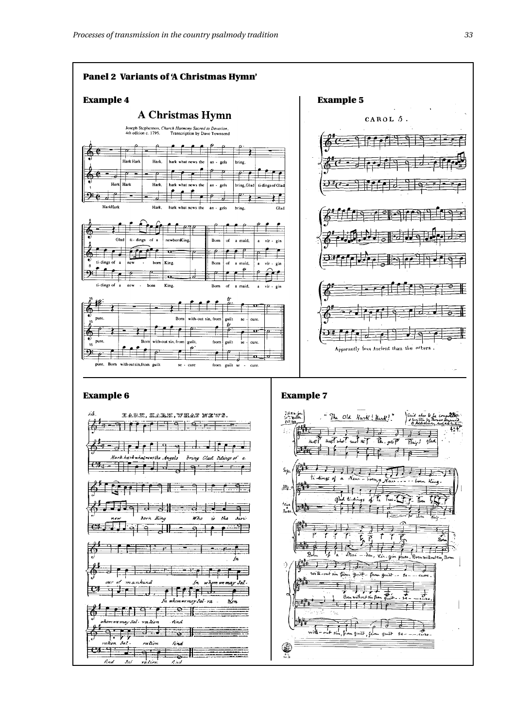nkind

7

ra lion

नन्त्र

ratio.

ratin

.<br>we <del>m</del>ay Sal .

i i

 $.5.7$ 

rahen  $JxI$ 

find

<u>ਦਾ ਜਾ</u>

十十二十

 $-7$ ema

rind

≌

find

<del>≐ ∝</del> ‼

n mit

sal-ra

 $\mathbf{z}'$ 

a and a structure of the context of the context of the context of the context of the context of the context of<br>The context of the context of the context of the context of the context of the context of the context of the c<br>



チチナリズ

75,

**O** 

Born without sin from guilt.

 $f$  if  $f$  if  $f$  if  $f$ 

with - out sin, from guilt, from guilt se-

——<br>……

ᆍ  $-\rho$ 

र्च